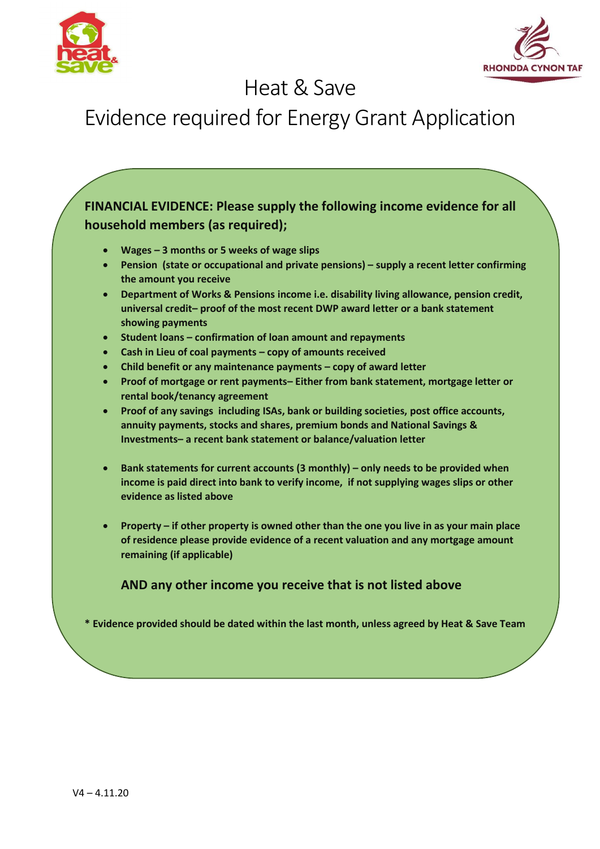



## Heat & Save

## Evidence required for Energy Grant Application

**FINANCIAL EVIDENCE: Please supply the following income evidence for all household members (as required);**

- **Wages – 3 months or 5 weeks of wage slips**
- **Pension (state or occupational and private pensions) – supply a recent letter confirming the amount you receive**
- **Department of Works & Pensions income i.e. disability living allowance, pension credit, universal credit– proof of the most recent DWP award letter or a bank statement showing payments**
- **Student loans – confirmation of loan amount and repayments**
- **Cash in Lieu of coal payments – copy of amounts received**
- **Child benefit or any maintenance payments – copy of award letter**
- **Proof of mortgage or rent payments– Either from bank statement, mortgage letter or rental book/tenancy agreement**
- **Proof of any savings including ISAs, bank or building societies, post office accounts, annuity payments, stocks and shares, premium bonds and National Savings & Investments– a recent bank statement or balance/valuation letter**
- **Bank statements for current accounts (3 monthly) – only needs to be provided when income is paid direct into bank to verify income, if not supplying wages slips or other evidence as listed above**
- **Property – if other property is owned other than the one you live in as your main place of residence please provide evidence of a recent valuation and any mortgage amount remaining (if applicable)**

**AND any other income you receive that is not listed above**

**\* Evidence provided should be dated within the last month, unless agreed by Heat & Save Team**